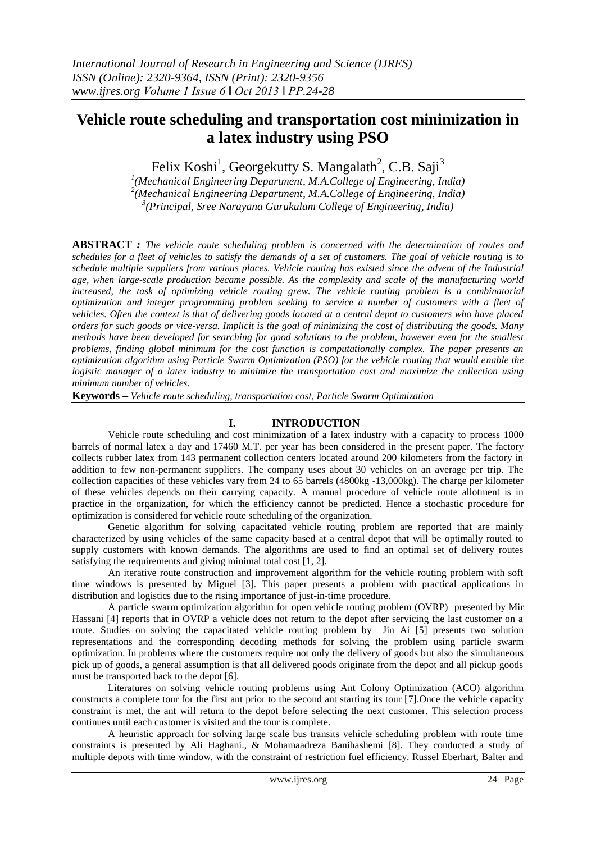# **Vehicle route scheduling and transportation cost minimization in a latex industry using PSO**

Felix Koshi<sup>1</sup>, Georgekutty S. Mangalath<sup>2</sup>, C.B. Saji<sup>3</sup>

<sup>1</sup>(Mechanical Engineering Department, M.A.College of Engineering, India) *2 (Mechanical Engineering Department, M.A.College of Engineering, India) 3 (Principal, Sree Narayana Gurukulam College of Engineering, India)* 

**ABSTRACT** *: The vehicle route scheduling problem is concerned with the determination of routes and schedules for a fleet of vehicles to satisfy the demands of a set of customers. The goal of vehicle routing is to schedule multiple suppliers from various places. Vehicle routing has existed since the advent of the Industrial age, when large-scale production became possible. As the complexity and scale of the manufacturing world increased, the task of optimizing vehicle routing grew. The vehicle routing problem is a combinatorial optimization and integer programming problem seeking to service a number of customers with a fleet of vehicles. Often the context is that of delivering goods located at a central depot to customers who have placed orders for such goods or vice-versa. Implicit is the goal of minimizing the cost of distributing the goods. Many methods have been developed for searching for good solutions to the problem, however even for the smallest problems, finding global minimum for the cost function is computationally complex. The paper presents an optimization algorithm using Particle Swarm Optimization (PSO) for the vehicle routing that would enable the logistic manager of a latex industry to minimize the transportation cost and maximize the collection using minimum number of vehicles.*

**Keywords** *– Vehicle route scheduling, transportation cost, Particle Swarm Optimization*

## **I. INTRODUCTION**

Vehicle route scheduling and cost minimization of a latex industry with a capacity to process 1000 barrels of normal latex a day and 17460 M.T. per year has been considered in the present paper. The factory collects rubber latex from 143 permanent collection centers located around 200 kilometers from the factory in addition to few non-permanent suppliers. The company uses about 30 vehicles on an average per trip. The collection capacities of these vehicles vary from 24 to 65 barrels (4800kg -13,000kg). The charge per kilometer of these vehicles depends on their carrying capacity. A manual procedure of vehicle route allotment is in practice in the organization, for which the efficiency cannot be predicted. Hence a stochastic procedure for optimization is considered for vehicle route scheduling of the organization.

Genetic algorithm for solving capacitated vehicle routing problem are reported that are mainly characterized by using vehicles of the same capacity based at a central depot that will be optimally routed to supply customers with known demands. The algorithms are used to find an optimal set of delivery routes satisfying the requirements and giving minimal total cost [1, 2].

An iterative route construction and improvement algorithm for the vehicle routing problem with soft time windows is presented by Miguel [3]. This paper presents a problem with practical applications in distribution and logistics due to the rising importance of just-in-time procedure.

A particle swarm optimization algorithm for open vehicle routing problem (OVRP) presented by Mir Hassani [4] reports that in OVRP a vehicle does not return to the depot after servicing the last customer on a route. Studies on solving the capacitated vehicle routing problem by Jin Ai [5] presents two solution representations and the corresponding decoding methods for solving the problem using particle swarm optimization. In problems where the customers require not only the delivery of goods but also the simultaneous pick up of goods, a general assumption is that all delivered goods originate from the depot and all pickup goods must be transported back to the depot [6].

Literatures on solving vehicle routing problems using Ant Colony Optimization (ACO) algorithm constructs a complete tour for the first ant prior to the second ant starting its tour [7].Once the vehicle capacity constraint is met, the ant will return to the depot before selecting the next customer. This selection process continues until each customer is visited and the tour is complete.

A heuristic approach for solving large scale bus transits vehicle scheduling problem with route time constraints is presented by Ali Haghani., & Mohamaadreza Banihashemi [8]. They conducted a study of multiple depots with time window, with the constraint of restriction fuel efficiency. Russel Eberhart, Balter and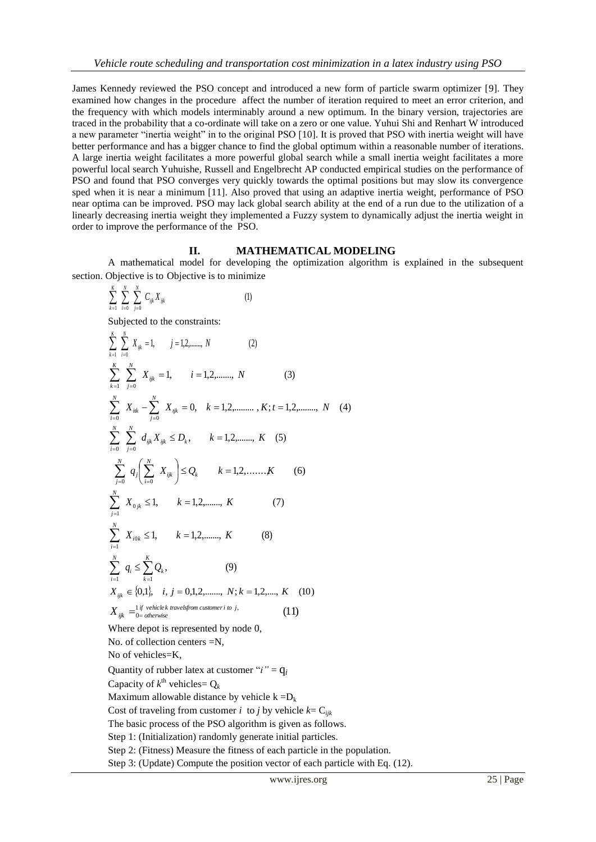James Kennedy reviewed the PSO concept and introduced a new form of particle swarm optimizer [9]. They examined how changes in the procedure affect the number of iteration required to meet an error criterion, and the frequency with which models interminably around a new optimum. In the binary version, trajectories are traced in the probability that a co-ordinate will take on a zero or one value. Yuhui Shi and Renhart W introduced a new parameter "inertia weight" in to the original PSO [10]. It is proved that PSO with inertia weight will have better performance and has a bigger chance to find the global optimum within a reasonable number of iterations. A large inertia weight facilitates a more powerful global search while a small inertia weight facilitates a more powerful local search Yuhuishe, Russell and Engelbrecht AP conducted empirical studies on the performance of PSO and found that PSO converges very quickly towards the optimal positions but may slow its convergence sped when it is near a minimum [11]. Also proved that using an adaptive inertia weight, performance of PSO near optima can be improved. PSO may lack global search ability at the end of a run due to the utilization of a linearly decreasing inertia weight they implemented a Fuzzy system to dynamically adjust the inertia weight in order to improve the performance of the PSO.

### **II. MATHEMATICAL MODELING**

A mathematical model for developing the optimization algorithm is explained in the subsequent section. Objective is to Objective is to minimize

$$
\sum_{k=1}^{K} \sum_{i=0}^{N} \sum_{j=0}^{N} C_{ijk} X_{ijk}
$$
 (1)

Subjected to the constraints:

$$
\sum_{k=1}^{K} \sum_{i=0}^{N} X_{ijk} = 1, \quad j = 1, 2, \dots, N
$$
\n(2)  
\n
$$
\sum_{k=1}^{K} \sum_{j=0}^{N} X_{ijk} = 1, \quad i = 1, 2, \dots, N
$$
\n(3)  
\n
$$
\sum_{j=0}^{N} X_{ik} - \sum_{j=0}^{N} X_{ijk} = 0, \quad k = 1, 2, \dots, K; t = 1, 2, \dots, N
$$
\n(4)  
\n
$$
\sum_{i=0}^{N} \sum_{j=0}^{N} d_{ijk} X_{ijk} \le D_k, \quad k = 1, 2, \dots, K
$$
\n(5)  
\n
$$
\sum_{j=0}^{N} q_j \left( \sum_{i=0}^{N} X_{ijk} \right) \le Q_k \quad k = 1, 2, \dots, K
$$
\n(6)  
\n
$$
\sum_{j=1}^{N} X_{0jk} \le 1, \quad k = 1, 2, \dots, K
$$
\n(7)  
\n
$$
\sum_{i=1}^{N} X_{i0k} \le 1, \quad k = 1, 2, \dots, K
$$
\n(8)  
\n
$$
\sum_{i=1}^{N} q_i \le \sum_{k=1}^{K} Q_k, \quad \text{(9)}
$$
\n
$$
X_{ijk} \in \{0, 1\}, \quad i, j = 0, 1, 2, \dots, N; k = 1, 2, \dots, K
$$
\n(10)  
\n
$$
X_{ijk} = \{0, 1\}, \quad i, j = 0, 1, 2, \dots, N; k = 1, 2, \dots, K
$$
\n(11)  
\nWhere depot is represented by node 0,  
\nNo. of collection centers = N,  
\nNo of vehicles = K,  
\nQuantity of rubber latest at customer "*i*" =  $q_i$   
\nCapacity of *k*<sup>th</sup> vehicles =  $Q_k$   
\nMaximum allowable distance by vehicle  $k = D_k$   
\nCost of traveling from customer *i* to *j* by vehicle *k* =  $C_{ijk}$   
\nThe basic process of the PSO algorithm is given as follows.  
\nStep 1: (Initialization) randomly generate initial particles.

Step 2: (Fitness) Measure the fitness of each particle in the population.

Step 3: (Update) Compute the position vector of each particle with Eq. (12).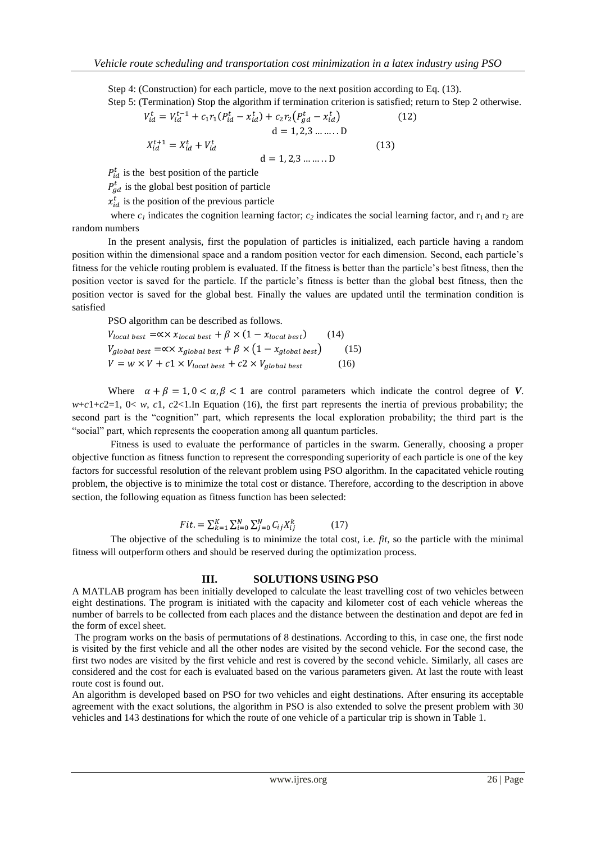Step 4: (Construction) for each particle, move to the next position according to Eq. (13). Step 5: (Termination) Stop the algorithm if termination criterion is satisfied; return to Step 2 otherwise.

$$
V_{id}^{t} = V_{id}^{t-1} + c_1 r_1 (P_{id}^{t} - x_{id}^{t}) + c_2 r_2 (P_{gd}^{t} - x_{id}^{t})
$$
  
\n
$$
d = 1, 2, 3 \dots \dots D
$$
  
\n
$$
X_{id}^{t+1} = X_{id}^{t} + V_{id}^{t}
$$
  
\n
$$
d = 1, 2, 3 \dots \dots D
$$
\n(13)

 $P_{id}^t$  is the best position of the particle

 $P_{gd}^{t}$  is the global best position of particle

 $x_{id}^t$  is the position of the previous particle

where  $c<sub>1</sub>$  indicates the cognition learning factor;  $c<sub>2</sub>$  indicates the social learning factor, and  $r<sub>1</sub>$  and  $r<sub>2</sub>$  are random numbers

In the present analysis, first the population of particles is initialized, each particle having a random position within the dimensional space and a random position vector for each dimension. Second, each particle's fitness for the vehicle routing problem is evaluated. If the fitness is better than the particle's best fitness, then the position vector is saved for the particle. If the particle's fitness is better than the global best fitness, then the position vector is saved for the global best. Finally the values are updated until the termination condition is satisfied

PSO algorithm can be described as follows.

$$
V_{local best} = \propto \times x_{local best} + \beta \times (1 - x_{local best}) \qquad (14)
$$
  
\n
$$
V_{global best} = \propto x_{global best} + \beta \times (1 - x_{global best}) \qquad (15)
$$
  
\n
$$
V = w \times V + c1 \times V_{local best} + c2 \times V_{global best} \qquad (16)
$$

Where  $\alpha + \beta = 1, 0 < \alpha, \beta < 1$  are control parameters which indicate the control degree of *V*.  $w+c1+c2=1$ ,  $0 < w$ ,  $c1$ ,  $c2<1$ . In Equation (16), the first part represents the inertia of previous probability; the second part is the "cognition" part, which represents the local exploration probability; the third part is the "social" part, which represents the cooperation among all quantum particles.

Fitness is used to evaluate the performance of particles in the swarm. Generally, choosing a proper objective function as fitness function to represent the corresponding superiority of each particle is one of the key factors for successful resolution of the relevant problem using PSO algorithm. In the capacitated vehicle routing problem, the objective is to minimize the total cost or distance. Therefore, according to the description in above section, the following equation as fitness function has been selected:

$$
Fit. = \sum_{k=1}^{K} \sum_{i=0}^{N} \sum_{j=0}^{N} C_{ij} X_{ij}^{k}
$$
 (17)

The objective of the scheduling is to minimize the total cost, i.e. *fit*, so the particle with the minimal fitness will outperform others and should be reserved during the optimization process.

#### **III. SOLUTIONS USING PSO**

A MATLAB program has been initially developed to calculate the least travelling cost of two vehicles between eight destinations. The program is initiated with the capacity and kilometer cost of each vehicle whereas the number of barrels to be collected from each places and the distance between the destination and depot are fed in the form of excel sheet.

The program works on the basis of permutations of 8 destinations. According to this, in case one, the first node is visited by the first vehicle and all the other nodes are visited by the second vehicle. For the second case, the first two nodes are visited by the first vehicle and rest is covered by the second vehicle. Similarly, all cases are considered and the cost for each is evaluated based on the various parameters given. At last the route with least route cost is found out.

An algorithm is developed based on PSO for two vehicles and eight destinations. After ensuring its acceptable agreement with the exact solutions, the algorithm in PSO is also extended to solve the present problem with 30 vehicles and 143 destinations for which the route of one vehicle of a particular trip is shown in Table 1.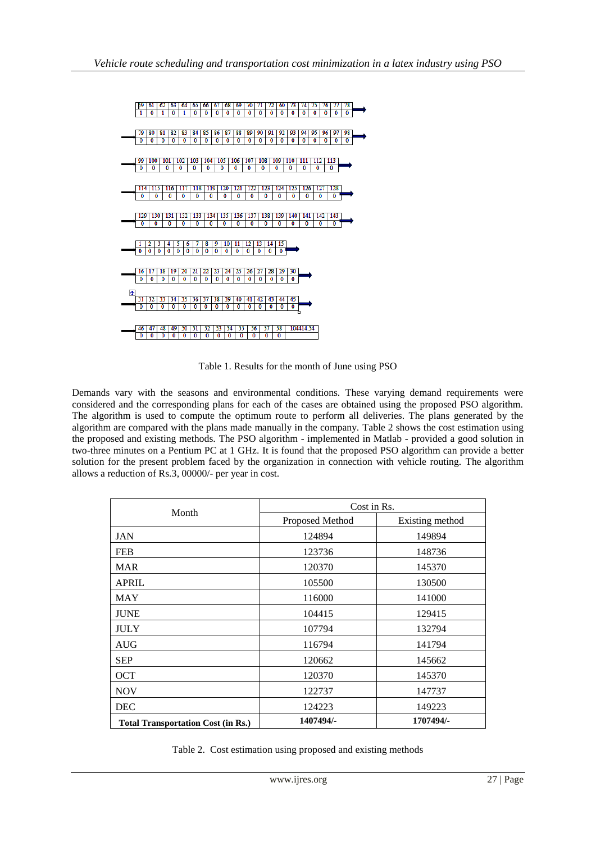

Table 1. Results for the month of June using PSO

Demands vary with the seasons and environmental conditions. These varying demand requirements were considered and the corresponding plans for each of the cases are obtained using the proposed PSO algorithm. The algorithm is used to compute the optimum route to perform all deliveries. The plans generated by the algorithm are compared with the plans made manually in the company. Table 2 shows the cost estimation using the proposed and existing methods. The PSO algorithm - implemented in Matlab - provided a good solution in two-three minutes on a Pentium PC at 1 GHz. It is found that the proposed PSO algorithm can provide a better solution for the present problem faced by the organization in connection with vehicle routing. The algorithm allows a reduction of Rs.3, 00000/- per year in cost.

| Month                                     | Cost in Rs.     |                 |  |
|-------------------------------------------|-----------------|-----------------|--|
|                                           | Proposed Method | Existing method |  |
| <b>JAN</b>                                | 124894          | 149894          |  |
| <b>FEB</b>                                | 123736          | 148736          |  |
| <b>MAR</b>                                | 120370          | 145370          |  |
| <b>APRIL</b>                              | 105500          | 130500          |  |
| <b>MAY</b>                                | 116000          | 141000          |  |
| <b>JUNE</b>                               | 104415          | 129415          |  |
| <b>JULY</b>                               | 107794          | 132794          |  |
| <b>AUG</b>                                | 116794          | 141794          |  |
| <b>SEP</b>                                | 120662          | 145662          |  |
| <b>OCT</b>                                | 120370          | 145370          |  |
| <b>NOV</b>                                | 122737          | 147737          |  |
| <b>DEC</b>                                | 124223          | 149223          |  |
| <b>Total Transportation Cost (in Rs.)</b> | 1407494/-       | 1707494/-       |  |

| Table 2. Cost estimation using proposed and existing methods |  |  |  |  |  |
|--------------------------------------------------------------|--|--|--|--|--|
|--------------------------------------------------------------|--|--|--|--|--|